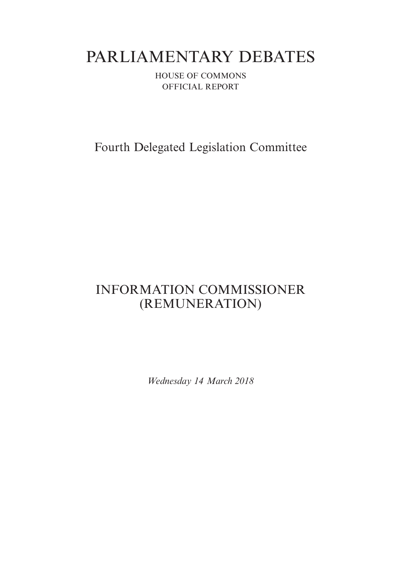# PARLIAMENTARY DEBATES

HOUSE OF COMMONS OFFICIAL REPORT

Fourth Delegated Legislation Committee

## INFORMATION COMMISSIONER (REMUNERATION)

*Wednesday 14 March 2018*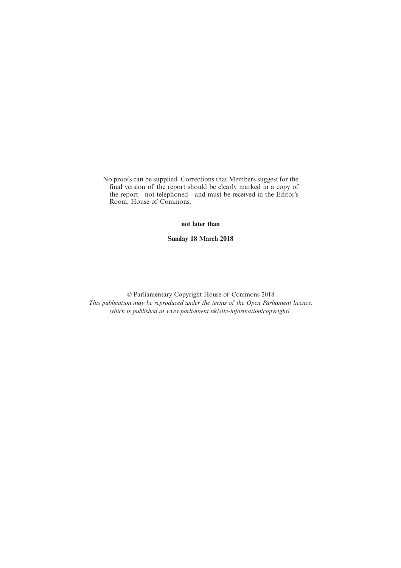No proofs can be supplied. Corrections that Members suggest for the final version of the report should be clearly marked in a copy of the report—not telephoned—and must be received in the Editor's Room, House of Commons,

**not later than**

**Sunday 18 March 2018**

© Parliamentary Copyright House of Commons 2018 *This publication may be reproduced under the terms of the Open Parliament licence, which is published at www.parliament.uk/site-information/copyright/.*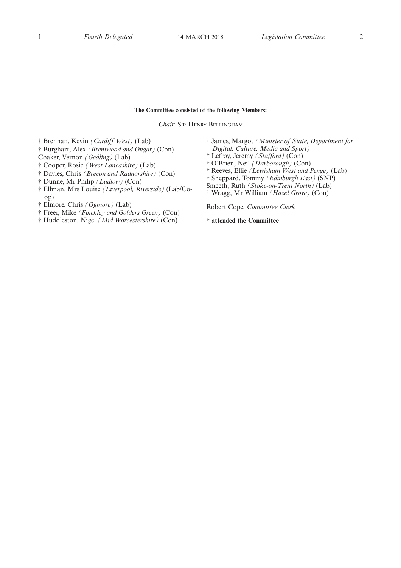#### **The Committee consisted of the following Members:**

*Chair:* SIR HENRY BELLINGHAM

† Brennan, Kevin *(Cardiff West)* (Lab)

- † Burghart, Alex *(Brentwood and Ongar)* (Con)
- Coaker, Vernon *(Gedling)* (Lab)
- † Cooper, Rosie *(West Lancashire)* (Lab)
- † Davies, Chris *(Brecon and Radnorshire)* (Con)
- † Dunne, Mr Philip *(Ludlow)* (Con)
- † Ellman, Mrs Louise *(Liverpool, Riverside)* (Lab/Coop)
- † Elmore, Chris *(Ogmore)* (Lab)
- † Freer, Mike *(Finchley and Golders Green)* (Con)
- † Huddleston, Nigel *(Mid Worcestershire)* (Con)
- † James, Margot *(Minister of State, Department for Digital, Culture, Media and Sport)*
- † Lefroy, Jeremy *(Stafford)* (Con)
- † O'Brien, Neil *(Harborough)* (Con)
- † Reeves, Ellie *(Lewisham West and Penge)* (Lab)
- † Sheppard, Tommy *(Edinburgh East)* (SNP)
- Smeeth, Ruth *(Stoke-on-Trent North)* (Lab)
- † Wragg, Mr William *(Hazel Grove)* (Con)

Robert Cope, *Committee Clerk*

**† attended the Committee**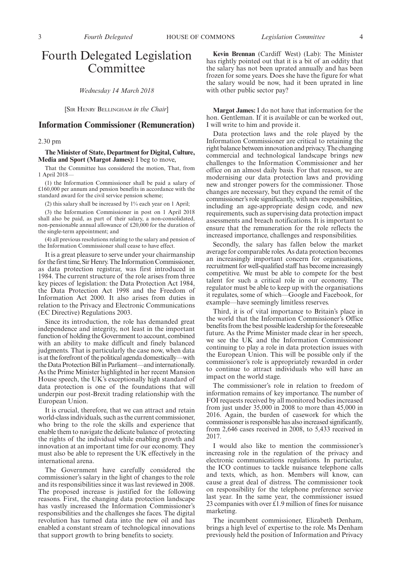### Fourth Delegated Legislation Committee

*Wednesday 14 March 2018*

[SIR HENRY BELLINGHAM *in the Chair*]

#### **Information Commissioner (Remuneration)**

#### 2.30 pm

#### **The Minister of State, Department for Digital, Culture, Media and Sport (Margot James):** I beg to move,

That the Committee has considered the motion, That, from 1 April 2018—

(1) the Information Commissioner shall be paid a salary of £160,000 per annum and pension benefits in accordance with the standard award for the civil service pension scheme;

(2) this salary shall be increased by 1% each year on 1 April;

(3) the Information Commissioner in post on 1 April 2018 shall also be paid, as part of their salary, a non-consolidated, non-pensionable annual allowance of £20,000 for the duration of the single-term appointment; and

(4) all previous resolutions relating to the salary and pension of the Information Commissioner shall cease to have effect.

It is a great pleasure to serve under your chairmanship for the first time, Sir Henry. The Information Commissioner, as data protection registrar, was first introduced in 1984. The current structure of the role arises from three key pieces of legislation: the Data Protection Act 1984, the Data Protection Act 1998 and the Freedom of Information Act 2000. It also arises from duties in relation to the Privacy and Electronic Communications (EC Directive) Regulations 2003.

Since its introduction, the role has demanded great independence and integrity, not least in the important function of holding the Government to account, combined with an ability to make difficult and finely balanced judgments. That is particularly the case now, when data is at the forefront of the political agenda domestically—with the Data Protection Bill in Parliament—and internationally. As the Prime Minister highlighted in her recent Mansion House speech, the UK's exceptionally high standard of data protection is one of the foundations that will underpin our post-Brexit trading relationship with the European Union.

It is crucial, therefore, that we can attract and retain world-class individuals, such as the current commissioner, who bring to the role the skills and experience that enable them to navigate the delicate balance of protecting the rights of the individual while enabling growth and innovation at an important time for our economy. They must also be able to represent the UK effectively in the international arena.

The Government have carefully considered the commissioner's salary in the light of changes to the role and its responsibilities since it was last reviewed in 2008. The proposed increase is justified for the following reasons. First, the changing data protection landscape has vastly increased the Information Commissioner's responsibilities and the challenges she faces. The digital revolution has turned data into the new oil and has enabled a constant stream of technological innovations that support growth to bring benefits to society.

**Kevin Brennan** (Cardiff West) (Lab): The Minister has rightly pointed out that it is a bit of an oddity that the salary has not been uprated annually and has been frozen for some years. Does she have the figure for what the salary would be now, had it been uprated in line with other public sector pay?

**Margot James:** I do not have that information for the hon. Gentleman. If it is available or can be worked out, I will write to him and provide it.

Data protection laws and the role played by the Information Commissioner are critical to retaining the right balance between innovation and privacy. The changing commercial and technological landscape brings new challenges to the Information Commissioner and her office on an almost daily basis. For that reason, we are modernising our data protection laws and providing new and stronger powers for the commissioner. Those changes are necessary, but they expand the remit of the commissioner's role significantly, with new responsibilities, including an age-appropriate design code, and new requirements, such as supervising data protection impact assessments and breach notifications. It is important to ensure that the remuneration for the role reflects the increased importance, challenges and responsibilities.

Secondly, the salary has fallen below the market average for comparable roles. As data protection becomes an increasingly important concern for organisations, recruitment for well-qualified staff has become increasingly competitive. We must be able to compete for the best talent for such a critical role in our economy. The regulator must be able to keep up with the organisations it regulates, some of which—Google and Facebook, for example—have seemingly limitless reserves.

Third, it is of vital importance to Britain's place in the world that the Information Commissioner's Office benefits from the best possible leadership for the foreseeable future. As the Prime Minister made clear in her speech, we see the UK and the Information Commissioner continuing to play a role in data protection issues with the European Union. This will be possible only if the commissioner's role is appropriately rewarded in order to continue to attract individuals who will have an impact on the world stage.

The commissioner's role in relation to freedom of information remains of key importance. The number of FOI requests received by all monitored bodies increased from just under 35,000 in 2008 to more than 45,000 in 2016. Again, the burden of casework for which the commissioner is responsible has also increased significantly, from 2,646 cases received in 2008, to 5,433 received in 2017.

I would also like to mention the commissioner's increasing role in the regulation of the privacy and electronic communications regulations. In particular, the ICO continues to tackle nuisance telephone calls and texts, which, as hon. Members will know, can cause a great deal of distress. The commissioner took on responsibility for the telephone preference service last year. In the same year, the commissioner issued 23 companies with over £1.9 million of fines for nuisance marketing.

The incumbent commissioner, Elizabeth Denham, brings a high level of expertise to the role. Ms Denham previously held the position of Information and Privacy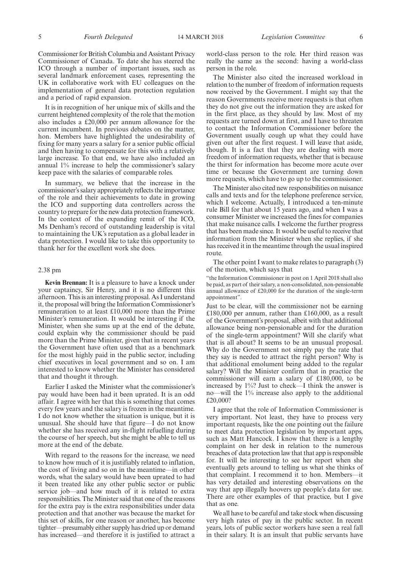Commissioner for British Columbia and Assistant Privacy Commissioner of Canada. To date she has steered the ICO through a number of important issues, such as several landmark enforcement cases, representing the UK in collaborative work with EU colleagues on the implementation of general data protection regulation and a period of rapid expansion.

It is in recognition of her unique mix of skills and the current heightened complexity of the role that the motion also includes a £20,000 per annum allowance for the current incumbent. In previous debates on the matter, hon. Members have highlighted the undesirability of fixing for many years a salary for a senior public official and then having to compensate for this with a relatively large increase. To that end, we have also included an annual 1% increase to help the commissioner's salary keep pace with the salaries of comparable roles.

In summary, we believe that the increase in the commissioner's salary appropriately reflects the importance of the role and their achievements to date in growing the ICO and supporting data controllers across the country to prepare for the new data protection framework. In the context of the expanding remit of the ICO, Ms Denham's record of outstanding leadership is vital to maintaining the UK's reputation as a global leader in data protection. I would like to take this opportunity to thank her for the excellent work she does.

#### 2.38 pm

**Kevin Brennan:** It is a pleasure to have a knock under your captaincy, Sir Henry, and it is no different this afternoon. This is an interesting proposal. As I understand it, the proposal will bring the Information Commissioner's remuneration to at least £10,000 more than the Prime Minister's remuneration. It would be interesting if the Minister, when she sums up at the end of the debate, could explain why the commissioner should be paid more than the Prime Minister, given that in recent years the Government have often used that as a benchmark for the most highly paid in the public sector, including chief executives in local government and so on. I am interested to know whether the Minister has considered that and thought it through.

Earlier I asked the Minister what the commissioner's pay would have been had it been uprated. It is an odd affair. I agree with her that this is something that comes every few years and the salary is frozen in the meantime. I do not know whether the situation is unique, but it is unusual. She should have that figure—I do not know whether she has received any in-flight refuelling during the course of her speech, but she might be able to tell us more at the end of the debate.

With regard to the reasons for the increase, we need to know how much of it is justifiably related to inflation, the cost of living and so on in the meantime—in other words, what the salary would have been uprated to had it been treated like any other public sector or public service job—and how much of it is related to extra responsibilities. The Minister said that one of the reasons for the extra pay is the extra responsibilities under data protection and that another was because the market for this set of skills, for one reason or another, has become tighter—presumably either supply has dried up or demand has increased—and therefore it is justified to attract a world-class person to the role. Her third reason was really the same as the second: having a world-class person in the role.

The Minister also cited the increased workload in relation to the number of freedom of information requests now received by the Government. I might say that the reason Governments receive more requests is that often they do not give out the information they are asked for in the first place, as they should by law. Most of my requests are turned down at first, and I have to threaten to contact the Information Commissioner before the Government usually cough up what they could have given out after the first request. I will leave that aside, though. It is a fact that they are dealing with more freedom of information requests, whether that is because the thirst for information has become more acute over time or because the Government are turning down more requests, which have to go up to the commissioner.

The Minister also cited new responsibilities on nuisance calls and texts and for the telephone preference service, which I welcome. Actually, I introduced a ten-minute rule Bill for that about 15 years ago, and when I was a consumer Minister we increased the fines for companies that make nuisance calls. I welcome the further progress that has been made since. It would be useful to receive that information from the Minister when she replies, if she has received it in the meantime through the usual inspired route.

The other point I want to make relates to paragraph (3) of the motion, which says that

"the Information Commissioner in post on 1 April 2018 shall also be paid, as part of their salary, a non-consolidated, non-pensionable annual allowance of £20,000 for the duration of the single-term appointment".

Just to be clear, will the commissioner not be earning £180,000 per annum, rather than £160,000, as a result of the Government's proposal, albeit with that additional allowance being non-pensionable and for the duration of the single-term appointment? Will she clarify what that is all about? It seems to be an unusual proposal. Why do the Government not simply pay the rate that they say is needed to attract the right person? Why is that additional emolument being added to the regular salary? Will the Minister confirm that in practice the commissioner will earn a salary of £180,000, to be increased by 1%? Just to check—I think the answer is no—will the 1% increase also apply to the additional £20,000?

I agree that the role of Information Commissioner is very important. Not least, they have to process very important requests, like the one pointing out the failure to meet data protection legislation by important apps, such as Matt Hancock. I know that there is a lengthy complaint on her desk in relation to the numerous breaches of data protection law that that app is responsible for. It will be interesting to see her report when she eventually gets around to telling us what she thinks of that complaint. I recommend it to hon. Members—it has very detailed and interesting observations on the way that app illegally hoovers up people's data for use. There are other examples of that practice, but I give that as one.

We all have to be careful and take stock when discussing very high rates of pay in the public sector. In recent years, lots of public sector workers have seen a real fall in their salary. It is an insult that public servants have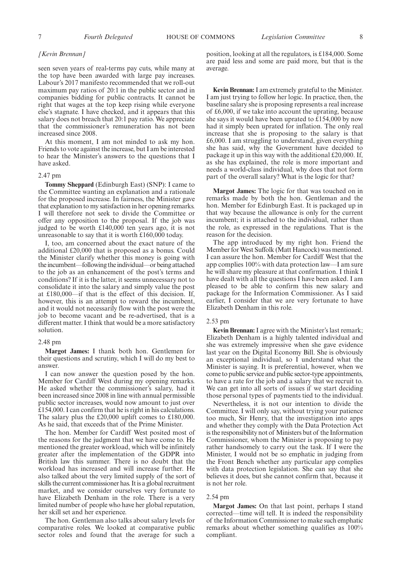7 *Fourth Delegated* HOUSE OF COMMONS *Legislation Committee* 8

#### *[Kevin Brennan]*

seen seven years of real-terms pay cuts, while many at the top have been awarded with large pay increases. Labour's 2017 manifesto recommended that we roll-out maximum pay ratios of 20:1 in the public sector and in companies bidding for public contracts. It cannot be right that wages at the top keep rising while everyone else's stagnate. I have checked, and it appears that this salary does not breach that 20:1 pay ratio. We appreciate that the commissioner's remuneration has not been increased since 2008.

At this moment, I am not minded to ask my hon. Friends to vote against the increase, but I am be interested to hear the Minister's answers to the questions that I have asked.

#### 2.47 pm

**Tommy Sheppard** (Edinburgh East) (SNP): I came to the Committee wanting an explanation and a rationale for the proposed increase. In fairness, the Minister gave that explanation to my satisfaction in her opening remarks. I will therefore not seek to divide the Committee or offer any opposition to the proposal. If the job was judged to be worth £140,000 ten years ago, it is not unreasonable to say that it is worth £160,000 today.

I, too, am concerned about the exact nature of the additional £20,000 that is proposed as a bonus. Could the Minister clarify whether this money is going with the incumbent—following the individual—or being attached to the job as an enhancement of the post's terms and conditions? If it is the latter, it seems unnecessary not to consolidate it into the salary and simply value the post at £180,000—if that is the effect of this decision. If, however, this is an attempt to reward the incumbent, and it would not necessarily flow with the post were the job to become vacant and be re-advertised, that is a different matter. I think that would be a more satisfactory solution.

#### 2.48 pm

**Margot James:** I thank both hon. Gentlemen for their questions and scrutiny, which I will do my best to answer.

I can now answer the question posed by the hon. Member for Cardiff West during my opening remarks. He asked whether the commissioner's salary, had it been increased since 2008 in line with annual permissible public sector increases, would now amount to just over £154,000. I can confirm that he is right in his calculations. The salary plus the £20,000 uplift comes to £180,000. As he said, that exceeds that of the Prime Minister.

The hon. Member for Cardiff West posited most of the reasons for the judgment that we have come to. He mentioned the greater workload, which will be infinitely greater after the implementation of the GDPR into British law this summer. There is no doubt that the workload has increased and will increase further. He also talked about the very limited supply of the sort of skills the current commissioner has. It is a global recruitment market, and we consider ourselves very fortunate to have Elizabeth Denham in the role. There is a very limited number of people who have her global reputation, her skill set and her experience.

The hon. Gentleman also talks about salary levels for comparative roles. We looked at comparative public sector roles and found that the average for such a position, looking at all the regulators, is £184,000. Some are paid less and some are paid more, but that is the average.

**Kevin Brennan:**I am extremely grateful to the Minister. I am just trying to follow her logic. In practice, then, the baseline salary she is proposing represents a real increase of £6,000, if we take into account the uprating, because she says it would have been uprated to £154,000 by now had it simply been uprated for inflation. The only real increase that she is proposing to the salary is that £6,000. I am struggling to understand, given everything she has said, why the Government have decided to package it up in this way with the additional £20,000. If, as she has explained, the role is more important and needs a world-class individual, why does that not form part of the overall salary? What is the logic for that?

**Margot James:** The logic for that was touched on in remarks made by both the hon. Gentleman and the hon. Member for Edinburgh East. It is packaged up in that way because the allowance is only for the current incumbent; it is attached to the individual, rather than the role, as expressed in the regulations. That is the reason for the decision.

The app introduced by my right hon. Friend the Member for West Suffolk (Matt Hancock) was mentioned. I can assure the hon. Member for Cardiff West that the app complies 100% with data protection law—I am sure he will share my pleasure at that confirmation. I think I have dealt with all the questions I have been asked. I am pleased to be able to confirm this new salary and package for the Information Commissioner. As I said earlier, I consider that we are very fortunate to have Elizabeth Denham in this role.

#### 2.53 pm

**Kevin Brennan:** I agree with the Minister's last remark; Elizabeth Denham is a highly talented individual and she was extremely impressive when she gave evidence last year on the Digital Economy Bill. She is obviously an exceptional individual, so I understand what the Minister is saying. It is preferential, however, when we come to public service and public sector-type appointments, to have a rate for the job and a salary that we recruit to. We can get into all sorts of issues if we start deciding those personal types of payments tied to the individual.

Nevertheless, it is not our intention to divide the Committee. I will only say, without trying your patience too much, Sir Henry, that the investigation into apps and whether they comply with the Data Protection Act is the responsibility not of Ministers but of the Information Commissioner, whom the Minister is proposing to pay rather handsomely to carry out the task. If I were the Minister, I would not be so emphatic in judging from the Front Bench whether any particular app complies with data protection legislation. She can say that she believes it does, but she cannot confirm that, because it is not her role.

#### 2.54 pm

**Margot James:** On that last point, perhaps I stand corrected—time will tell. It is indeed the responsibility of the Information Commissioner to make such emphatic remarks about whether something qualifies as 100% compliant.